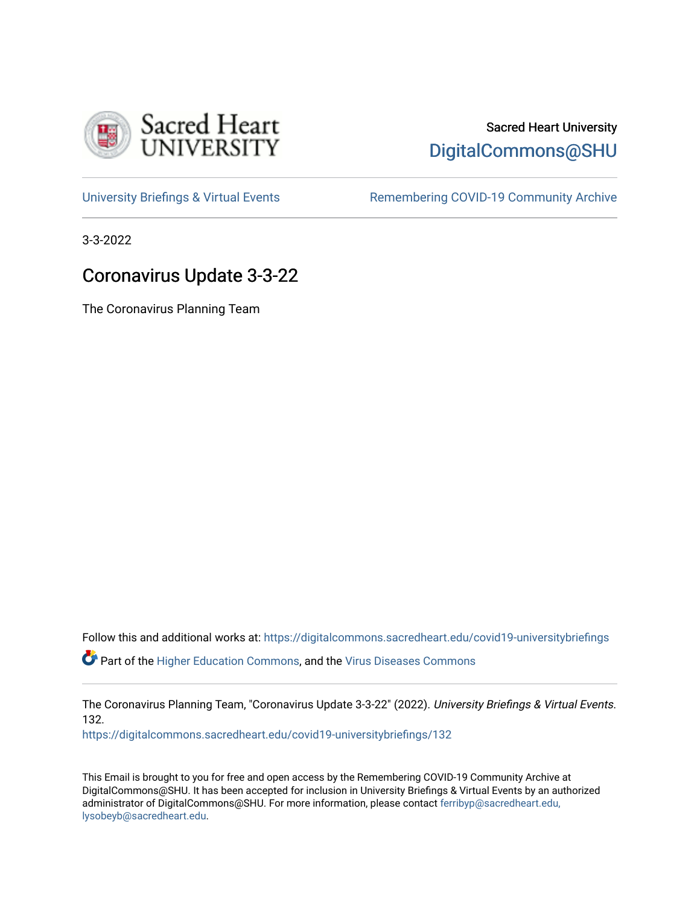

## Sacred Heart University [DigitalCommons@SHU](https://digitalcommons.sacredheart.edu/)

[University Briefings & Virtual Events](https://digitalcommons.sacredheart.edu/covid19-universitybriefings) **Remembering COVID-19 Community Archive** 

3-3-2022

# Coronavirus Update 3-3-22

The Coronavirus Planning Team

Follow this and additional works at: [https://digitalcommons.sacredheart.edu/covid19-universitybriefings](https://digitalcommons.sacredheart.edu/covid19-universitybriefings?utm_source=digitalcommons.sacredheart.edu%2Fcovid19-universitybriefings%2F132&utm_medium=PDF&utm_campaign=PDFCoverPages)

 $\bullet$  Part of the [Higher Education Commons,](http://network.bepress.com/hgg/discipline/1245?utm_source=digitalcommons.sacredheart.edu%2Fcovid19-universitybriefings%2F132&utm_medium=PDF&utm_campaign=PDFCoverPages) and the [Virus Diseases Commons](http://network.bepress.com/hgg/discipline/998?utm_source=digitalcommons.sacredheart.edu%2Fcovid19-universitybriefings%2F132&utm_medium=PDF&utm_campaign=PDFCoverPages)

The Coronavirus Planning Team, "Coronavirus Update 3-3-22" (2022). University Briefings & Virtual Events. 132.

[https://digitalcommons.sacredheart.edu/covid19-universitybriefings/132](https://digitalcommons.sacredheart.edu/covid19-universitybriefings/132?utm_source=digitalcommons.sacredheart.edu%2Fcovid19-universitybriefings%2F132&utm_medium=PDF&utm_campaign=PDFCoverPages)

This Email is brought to you for free and open access by the Remembering COVID-19 Community Archive at DigitalCommons@SHU. It has been accepted for inclusion in University Briefings & Virtual Events by an authorized administrator of DigitalCommons@SHU. For more information, please contact [ferribyp@sacredheart.edu,](mailto:ferribyp@sacredheart.edu,%20lysobeyb@sacredheart.edu) [lysobeyb@sacredheart.edu](mailto:ferribyp@sacredheart.edu,%20lysobeyb@sacredheart.edu).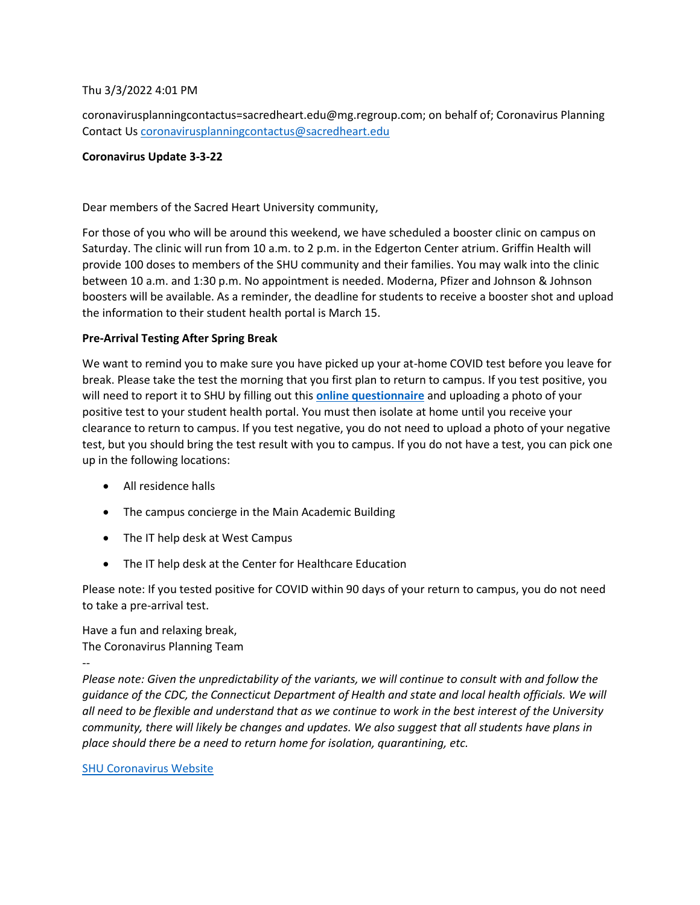### Thu 3/3/2022 4:01 PM

coronavirusplanningcontactus=sacredheart.edu@mg.regroup.com; on behalf of; Coronavirus Planning Contact Us [coronavirusplanningcontactus@sacredheart.edu](mailto:coronavirusplanningcontactus@sacredheart.edu)

### **Coronavirus Update 3-3-22**

Dear members of the Sacred Heart University community,

For those of you who will be around this weekend, we have scheduled a booster clinic on campus on Saturday. The clinic will run from 10 a.m. to 2 p.m. in the Edgerton Center atrium. Griffin Health will provide 100 doses to members of the SHU community and their families. You may walk into the clinic between 10 a.m. and 1:30 p.m. No appointment is needed. Moderna, Pfizer and Johnson & Johnson boosters will be available. As a reminder, the deadline for students to receive a booster shot and upload the information to their student health portal is March 15.

## **Pre-Arrival Testing After Spring Break**

We want to remind you to make sure you have picked up your at-home COVID test before you leave for break. Please take the test the morning that you first plan to return to campus. If you test positive, you will need to report it to SHU by filling out this **[online questionnaire](https://forms.office.com/Pages/ResponsePage.aspx?id=xFmCf5HE9Uel5amfUya5dmbvACxOprVOrZJpX_GNNvRURDRHRVhWRUQyMldIM1dXR0VEQUpOT005VSQlQCN0PWcu&wdLOR=cF3670D64-9EDB-487B-8389-5A65375DB43E)** and uploading a photo of your positive test to your student health portal. You must then isolate at home until you receive your clearance to return to campus. If you test negative, you do not need to upload a photo of your negative test, but you should bring the test result with you to campus. If you do not have a test, you can pick one up in the following locations:

- All residence halls
- The campus concierge in the Main Academic Building
- The IT help desk at West Campus
- The IT help desk at the Center for Healthcare Education

Please note: If you tested positive for COVID within 90 days of your return to campus, you do not need to take a pre-arrival test.

Have a fun and relaxing break, The Coronavirus Planning Team

--

*Please note: Given the unpredictability of the variants, we will continue to consult with and follow the guidance of the CDC, the Connecticut Department of Health and state and local health officials. We will all need to be flexible and understand that as we continue to work in the best interest of the University community, there will likely be changes and updates. We also suggest that all students have plans in place should there be a need to return home for isolation, quarantining, etc.* 

### [SHU Coronavirus Website](https://www.sacredheart.edu/offices--departments-directory/health-services/coronavirus/)